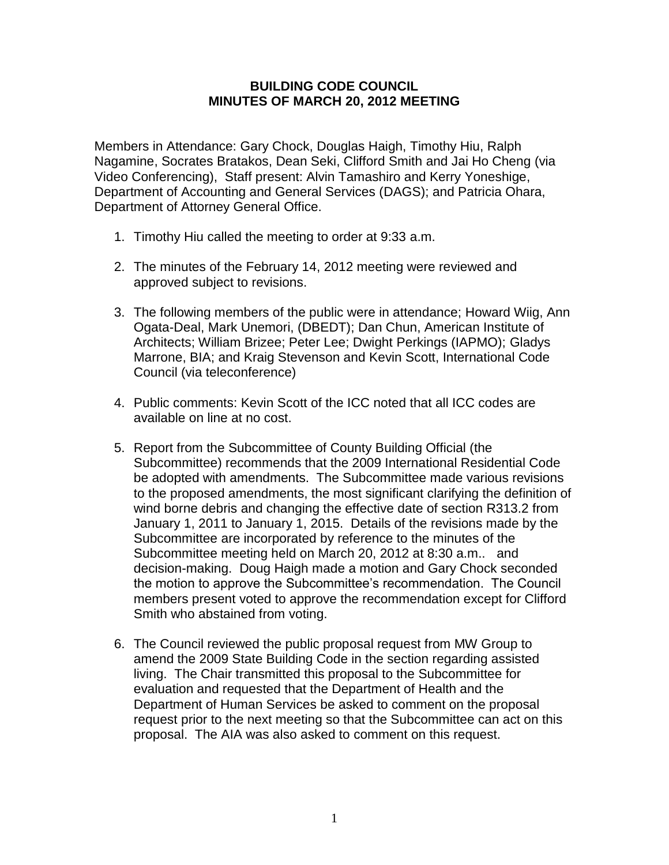## **BUILDING CODE COUNCIL MINUTES OF MARCH 20, 2012 MEETING**

Members in Attendance: Gary Chock, Douglas Haigh, Timothy Hiu, Ralph Nagamine, Socrates Bratakos, Dean Seki, Clifford Smith and Jai Ho Cheng (via Video Conferencing), Staff present: Alvin Tamashiro and Kerry Yoneshige, Department of Accounting and General Services (DAGS); and Patricia Ohara, Department of Attorney General Office.

- 1. Timothy Hiu called the meeting to order at 9:33 a.m.
- 2. The minutes of the February 14, 2012 meeting were reviewed and approved subject to revisions.
- 3. The following members of the public were in attendance; Howard Wiig, Ann Ogata-Deal, Mark Unemori, (DBEDT); Dan Chun, American Institute of Architects; William Brizee; Peter Lee; Dwight Perkings (IAPMO); Gladys Marrone, BIA; and Kraig Stevenson and Kevin Scott, International Code Council (via teleconference)
- 4. Public comments: Kevin Scott of the ICC noted that all ICC codes are available on line at no cost.
- 5. Report from the Subcommittee of County Building Official (the Subcommittee) recommends that the 2009 International Residential Code be adopted with amendments. The Subcommittee made various revisions to the proposed amendments, the most significant clarifying the definition of wind borne debris and changing the effective date of section R313.2 from January 1, 2011 to January 1, 2015. Details of the revisions made by the Subcommittee are incorporated by reference to the minutes of the Subcommittee meeting held on March 20, 2012 at 8:30 a.m.. and decision-making. Doug Haigh made a motion and Gary Chock seconded the motion to approve the Subcommittee's recommendation. The Council members present voted to approve the recommendation except for Clifford Smith who abstained from voting.
- 6. The Council reviewed the public proposal request from MW Group to amend the 2009 State Building Code in the section regarding assisted living. The Chair transmitted this proposal to the Subcommittee for evaluation and requested that the Department of Health and the Department of Human Services be asked to comment on the proposal request prior to the next meeting so that the Subcommittee can act on this proposal. The AIA was also asked to comment on this request.